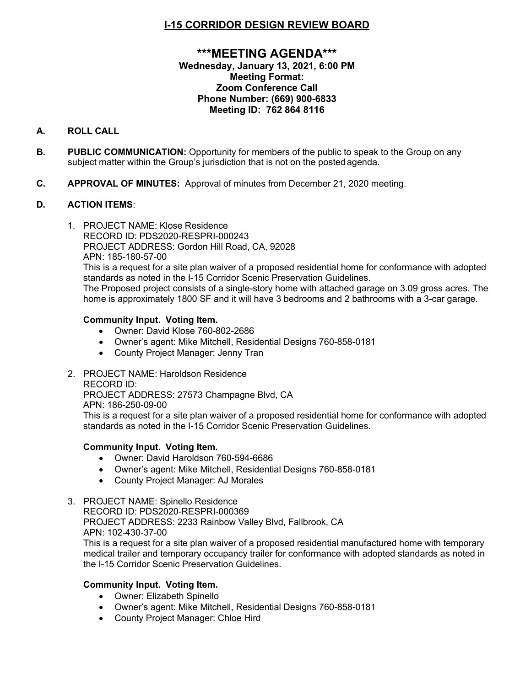# **I-15 CORRIDOR DESIGN REVIEW BOARD**

## **\*\*\*MEETING AGENDA\*\*\* Wednesday, January 13, 2021, 6:00 PM Meeting Format: Zoom Conference Call Phone Number: (669) 900-6833 Meeting ID: 762 864 8116**

# **A. ROLL CALL**

- **B. PUBLIC COMMUNICATION:** Opportunity for members of the public to speak to the Group on any subject matter within the Group's jurisdiction that is not on the posted agenda.
- **C. APPROVAL OF MINUTES:** Approval of minutes from December 21, 2020 meeting.

## **D. ACTION ITEMS**:

1. PROJECT NAME: Klose Residence RECORD ID: PDS2020-RESPRI-000243 PROJECT ADDRESS: Gordon Hill Road, CA, 92028 APN: 185-180-57-00

This is a request for a site plan waiver of a proposed residential home for conformance with adopted standards as noted in the I-15 Corridor Scenic Preservation Guidelines.

The Proposed project consists of a single-story home with attached garage on 3.09 gross acres. The home is approximately 1800 SF and it will have 3 bedrooms and 2 bathrooms with a 3-car garage.

## **Community Input. Voting Item.**

- Owner: David Klose 760-802-2686
- Owner's agent: Mike Mitchell, Residential Designs 760-858-0181
- County Project Manager: Jenny Tran
- 2. PROJECT NAME: Haroldson Residence

#### RECORD ID:

PROJECT ADDRESS: 27573 Champagne Blvd, CA

APN: 186-250-09-00

This is a request for a site plan waiver of a proposed residential home for conformance with adopted standards as noted in the I-15 Corridor Scenic Preservation Guidelines.

### **Community Input. Voting Item.**

- Owner: David Haroldson 760-594-6686
- Owner's agent: Mike Mitchell, Residential Designs 760-858-0181
- County Project Manager: AJ Morales
- 3. PROJECT NAME: Spinello Residence

RECORD ID: PDS2020-RESPRI-000369

PROJECT ADDRESS: 2233 Rainbow Valley Blvd, Fallbrook, CA APN: 102-430-37-00

This is a request for a site plan waiver of a proposed residential manufactured home with temporary medical trailer and temporary occupancy trailer for conformance with adopted standards as noted in the I-15 Corridor Scenic Preservation Guidelines.

### **Community Input. Voting Item.**

- Owner: Elizabeth Spinello
- Owner's agent: Mike Mitchell, Residential Designs 760-858-0181
- County Project Manager: Chloe Hird